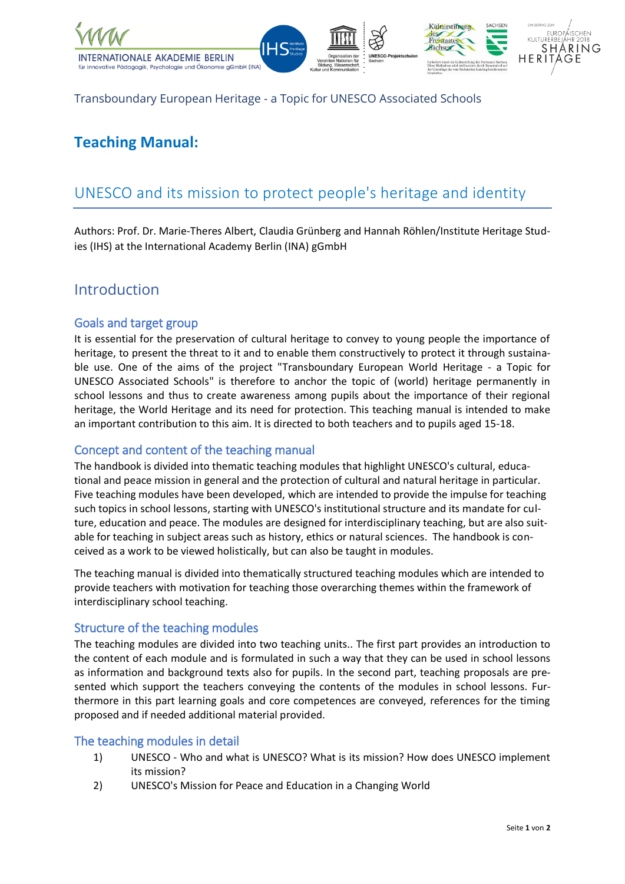

Transboundary European Heritage - a Topic for UNESCO Associated Schools

# **Teaching Manual:**

# UNESCO and its mission to protect people's heritage and identity

Authors: Prof. Dr. Marie-Theres Albert, Claudia Grünberg and Hannah Röhlen/Institute Heritage Studies (IHS) at the International Academy Berlin (INA) gGmbH

## Introduction

### Goals and target group

It is essential for the preservation of cultural heritage to convey to young people the importance of heritage, to present the threat to it and to enable them constructively to protect it through sustainable use. One of the aims of the project "Transboundary European World Heritage - a Topic for UNESCO Associated Schools" is therefore to anchor the topic of (world) heritage permanently in school lessons and thus to create awareness among pupils about the importance of their regional heritage, the World Heritage and its need for protection. This teaching manual is intended to make an important contribution to this aim. It is directed to both teachers and to pupils aged 15-18.

### Concept and content of the teaching manual

The handbook is divided into thematic teaching modules that highlight UNESCO's cultural, educational and peace mission in general and the protection of cultural and natural heritage in particular. Five teaching modules have been developed, which are intended to provide the impulse for teaching such topics in school lessons, starting with UNESCO's institutional structure and its mandate for culture, education and peace. The modules are designed for interdisciplinary teaching, but are also suitable for teaching in subject areas such as history, ethics or natural sciences. The handbook is conceived as a work to be viewed holistically, but can also be taught in modules.

The teaching manual is divided into thematically structured teaching modules which are intended to provide teachers with motivation for teaching those overarching themes within the framework of interdisciplinary school teaching.

#### Structure of the teaching modules

The teaching modules are divided into two teaching units.. The first part provides an introduction to the content of each module and is formulated in such a way that they can be used in school lessons as information and background texts also for pupils. In the second part, teaching proposals are presented which support the teachers conveying the contents of the modules in school lessons. Furthermore in this part learning goals and core competences are conveyed, references for the timing proposed and if needed additional material provided.

#### The teaching modules in detail

- 1) UNESCO Who and what is UNESCO? What is its mission? How does UNESCO implement its mission?
- 2) UNESCO's Mission for Peace and Education in a Changing World